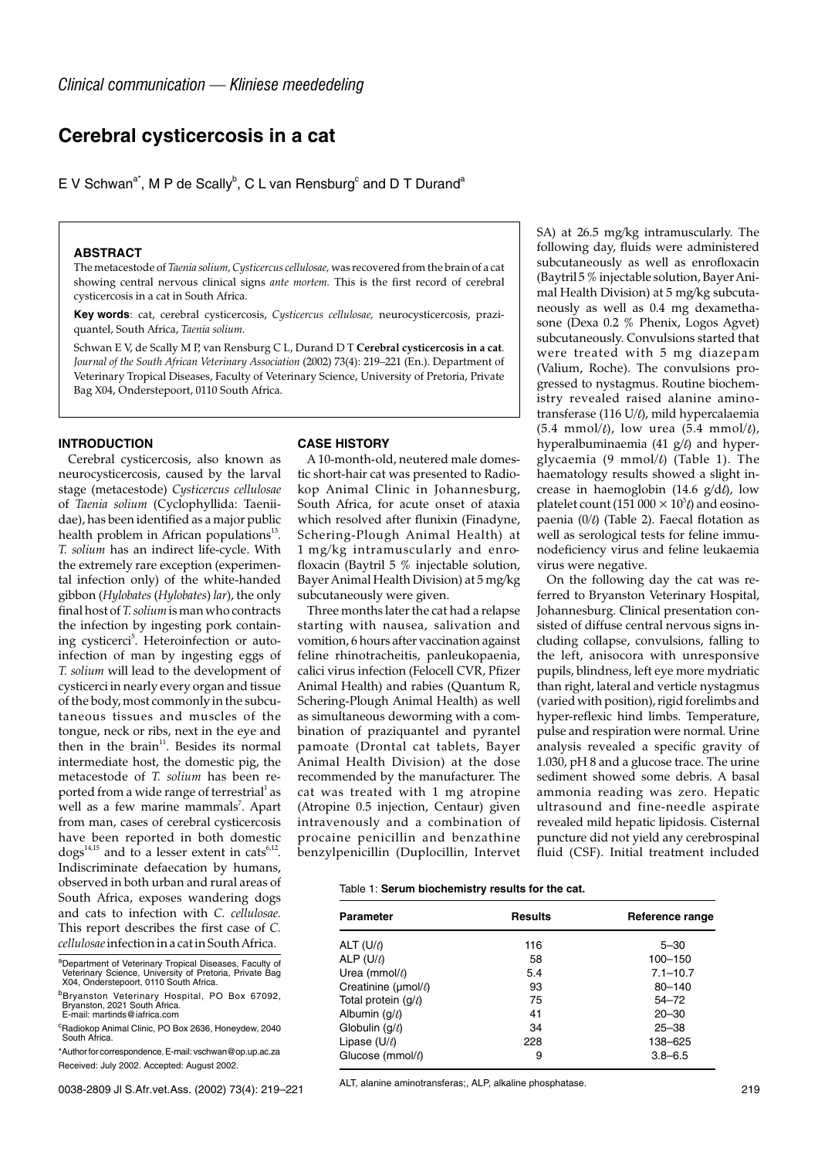# **Cerebral cysticercosis in a cat**

E V Schwan<sup>a\*</sup>, M P de Scally<sup>b</sup>, C L van Rensburg<sup>c</sup> and D T Durand<sup>a</sup>

## **ABSTRACT**

The metacestode of *Taenia solium, Cysticercus cellulosae,* was recovered from the brain of a cat showing central nervous clinical signs *ante mortem.* This is the first record of cerebral cysticercosis in a cat in South Africa.

**Key words**: cat, cerebral cysticercosis, *Cysticercus cellulosae,* neurocysticercosis, praziquantel, South Africa, *Taenia solium.*

Schwan E V, de Scally M P, van Rensburg C L, Durand D T **Cerebral cysticercosis in a cat**. *Journal of the South African Veterinary Association* (2002) 73(4): 219–221 (En.). Department of Veterinary Tropical Diseases, Faculty of Veterinary Science, University of Pretoria, Private Bag X04, Onderstepoort, 0110 South Africa.

#### **INTRODUCTION**

Cerebral cysticercosis, also known as neurocysticercosis, caused by the larval stage (metacestode) *Cysticercus cellulosae* of *Taenia solium* (Cyclophyllida: Taeniidae), has been identified as a major public health problem in African populations<sup>13</sup>. *T. solium* has an indirect life-cycle. With the extremely rare exception (experimental infection only) of the white-handed gibbon (*Hylobates* (*Hylobates*) *lar*), the only final host of *T. solium* is man who contracts the infection by ingesting pork containing cysticerci<sup>5</sup>. Heteroinfection or autoinfection of man by ingesting eggs of *T. solium* will lead to the development of cysticerci in nearly every organ and tissue of the body, most commonly in the subcutaneous tissues and muscles of the tongue, neck or ribs, next in the eye and then in the brain<sup>11</sup>. Besides its normal intermediate host, the domestic pig, the metacestode of *T. solium* has been reported from a wide range of terrestrial<sup>1</sup> as well as a few marine mammals<sup>7</sup>. Apart from man, cases of cerebral cysticercosis have been reported in both domestic  $\log s^{14,15}$  and to a lesser extent in cats<sup>6,12</sup>. Indiscriminate defaecation by humans, observed in both urban and rural areas of South Africa, exposes wandering dogs and cats to infection with *C. cellulosae.* This report describes the first case of *C. cellulosae*infection in a cat in South Africa.

a Department of Veterinary Tropical Diseases, Faculty of Veterinary Science, University of Pretoria, Private Bag X04, Onderstepoort, 0110 South Africa.

<sup>b</sup>Bryanston Veterinary Hospital, PO Box 67092,<br>Bryanston, 2021 South Africa. E-mail: martinds@iafrica.com

c Radiokop Animal Clinic, PO Box 2636, Honeydew, 2040 South Africa.

\*Author for correspondence. E-mail: vschwan@op.up.ac.za Received: July 2002. Accepted: August 2002.

### **CASE HISTORY**

A 10-month-old, neutered male domestic short-hair cat was presented to Radiokop Animal Clinic in Johannesburg, South Africa, for acute onset of ataxia which resolved after flunixin (Finadyne, Schering-Plough Animal Health) at 1 mg/kg intramuscularly and enrofloxacin (Baytril 5 % injectable solution, Bayer Animal Health Division) at 5 mg/kg subcutaneously were given.

Three months later the cat had a relapse starting with nausea, salivation and vomition, 6 hours after vaccination against feline rhinotracheitis, panleukopaenia, calici virus infection (Felocell CVR, Pfizer Animal Health) and rabies (Quantum R, Schering-Plough Animal Health) as well as simultaneous deworming with a combination of praziquantel and pyrantel pamoate (Drontal cat tablets, Bayer Animal Health Division) at the dose recommended by the manufacturer. The cat was treated with 1 mg atropine (Atropine 0.5 injection, Centaur) given intravenously and a combination of procaine penicillin and benzathine benzylpenicillin (Duplocillin, Intervet SA) at 26.5 mg/kg intramuscularly. The following day, fluids were administered subcutaneously as well as enrofloxacin (Baytril 5 % injectable solution, Bayer Animal Health Division) at 5 mg/kg subcutaneously as well as 0.4 mg dexamethasone (Dexa 0.2 % Phenix, Logos Agvet) subcutaneously. Convulsions started that were treated with 5 mg diazepam (Valium, Roche). The convulsions progressed to nystagmus. Routine biochemistry revealed raised alanine aminotransferase (116 U/ $\ell$ ), mild hypercalaemia  $(5.4 \text{ mmol/l})$ , low urea  $(5.4 \text{ mmol/l})$ , hyperalbuminaemia (41  $g/l$ ) and hyperglycaemia (9 mmol/ $\ell$ ) (Table 1). The haematology results showed a slight increase in haemoglobin (14.6  $g/d\ell$ ), low platelet count (151 000  $\times$  10<sup>3</sup> $\ell$ ) and eosinopaenia  $(0/l)$  (Table 2). Faecal flotation as well as serological tests for feline immunodeficiency virus and feline leukaemia virus were negative.

On the following day the cat was referred to Bryanston Veterinary Hospital, Johannesburg. Clinical presentation consisted of diffuse central nervous signs including collapse, convulsions, falling to the left, anisocora with unresponsive pupils, blindness, left eye more mydriatic than right, lateral and verticle nystagmus (varied with position), rigid forelimbs and hyper-reflexic hind limbs. Temperature, pulse and respiration were normal. Urine analysis revealed a specific gravity of 1.030, pH 8 and a glucose trace. The urine sediment showed some debris. A basal ammonia reading was zero. Hepatic ultrasound and fine-needle aspirate revealed mild hepatic lipidosis. Cisternal puncture did not yield any cerebrospinal fluid (CSF). Initial treatment included

Table 1: **Serum biochemistry results for the cat.**

| Parameter                  | <b>Results</b> | Reference range |
|----------------------------|----------------|-----------------|
| ALT $(U/\ell)$             | 116            | $5 - 30$        |
| ALP $(U/\ell)$             | 58             | $100 - 150$     |
| Urea (mmol/l)              | 5.4            | $7.1 - 10.7$    |
| Creatinine (umol/ $\ell$ ) | 93             | $80 - 140$      |
| Total protein $(q/\ell)$   | 75             | $54 - 72$       |
| Albumin $(g/\ell)$         | 41             | $20 - 30$       |
| Globulin $(g/\ell)$        | 34             | $25 - 38$       |
| Lipase $(U/\ell)$          | 228            | 138-625         |
| Glucose (mmol/l)           | 9              | $3.8 - 6.5$     |

ALT, alanine aminotransferas;, ALP, alkaline phosphatase.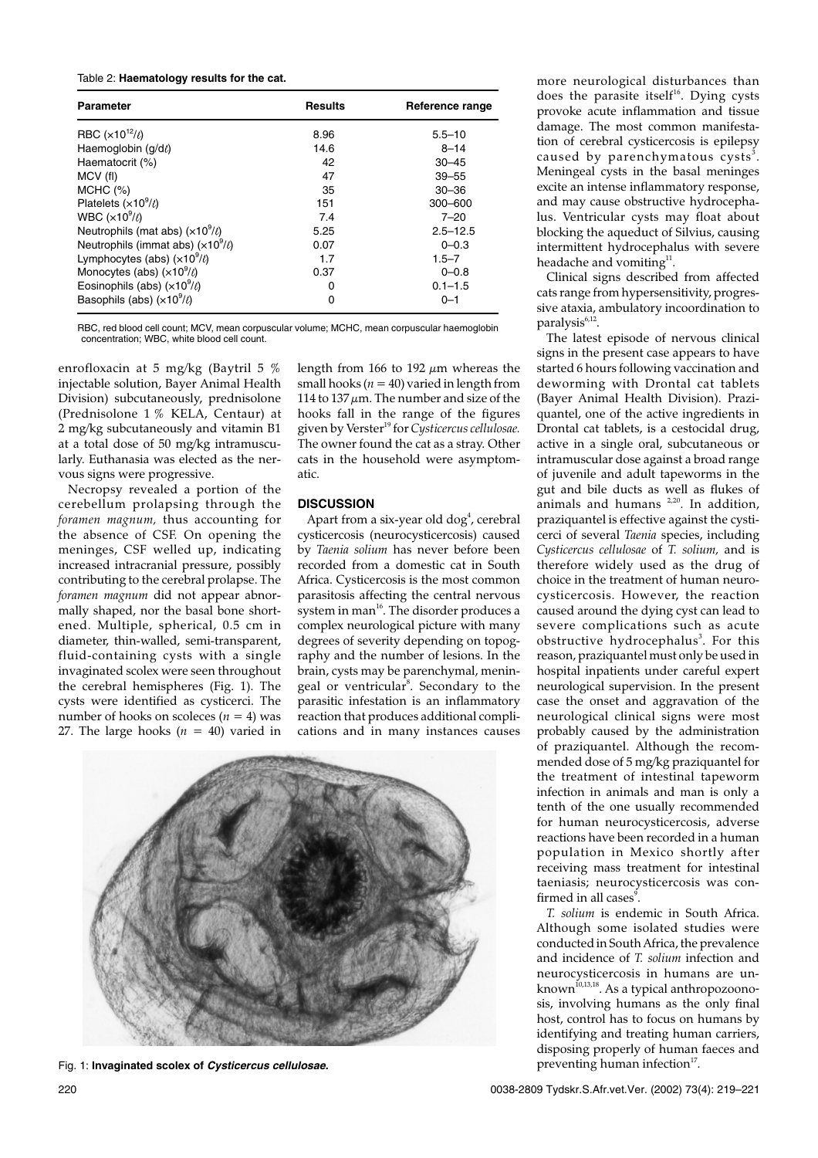#### Table 2: **Haematology results for the cat.**

| Parameter                              | <b>Results</b> | Reference range |
|----------------------------------------|----------------|-----------------|
| RBC $(x10^{12}/\ell)$                  | 8.96           | $5.5 - 10$      |
| Haemoglobin (g/d $\ell$ )              | 14.6           | $8 - 14$        |
| Haematocrit (%)                        | 42             | $30 - 45$       |
| MCV (fl)                               | 47             | $39 - 55$       |
| MCHC (%)                               | 35             | $30 - 36$       |
| Platelets $(x10^9/l)$                  | 151            | $300 - 600$     |
| WBC $(x10^9/\ell)$                     | 7.4            | $7 - 20$        |
| Neutrophils (mat abs) $(x10^9/\ell)$   | 5.25           | $2.5 - 12.5$    |
| Neutrophils (immat abs) $(x10^9/\ell)$ | 0.07           | $0 - 0.3$       |
| Lymphocytes (abs) $(x10^9/\ell)$       | 1.7            | $1.5 - 7$       |
| Monocytes (abs) $(x10^9/\ell)$         | 0.37           | $0 - 0.8$       |
| Eosinophils (abs) $(x10^9/\ell)$       | 0              | $0.1 - 1.5$     |
| Basophils (abs) $(x10^9/l)$            | 0              | $0 - 1$         |

RBC, red blood cell count; MCV, mean corpuscular volume; MCHC, mean corpuscular haemoglobin concentration; WBC, white blood cell count.

enrofloxacin at 5 mg/kg (Baytril 5 % injectable solution, Bayer Animal Health Division) subcutaneously, prednisolone (Prednisolone 1 % KELA, Centaur) at 2 mg/kg subcutaneously and vitamin B1 at a total dose of 50 mg/kg intramuscularly. Euthanasia was elected as the nervous signs were progressive.

Necropsy revealed a portion of the cerebellum prolapsing through the *foramen magnum,* thus accounting for the absence of CSF. On opening the meninges, CSF welled up, indicating increased intracranial pressure, possibly contributing to the cerebral prolapse. The *foramen magnum* did not appear abnormally shaped, nor the basal bone shortened. Multiple, spherical, 0.5 cm in diameter, thin-walled, semi-transparent, fluid-containing cysts with a single invaginated scolex were seen throughout the cerebral hemispheres (Fig. 1). The cysts were identified as cysticerci. The number of hooks on scoleces ( $n = 4$ ) was 27. The large hooks  $(n = 40)$  varied in length from 166 to 192  $\mu$ m whereas the small hooks ( $n = 40$ ) varied in length from 114 to 137  $\mu$ m. The number and size of the hooks fall in the range of the figures given by Verster<sup>19</sup> for *Cysticercus cellulosae*. The owner found the cat as a stray. Other cats in the household were asymptomatic.

#### **DISCUSSION**

Apart from a six-year old  $\log^4$ , cerebral cysticercosis (neurocysticercosis) caused by *Taenia solium* has never before been recorded from a domestic cat in South Africa. Cysticercosis is the most common parasitosis affecting the central nervous system in man<sup>16</sup>. The disorder produces a complex neurological picture with many degrees of severity depending on topography and the number of lesions. In the brain, cysts may be parenchymal, meningeal or ventricular $^8$ . Secondary to the parasitic infestation is an inflammatory reaction that produces additional complications and in many instances causes



Fig. 1: **Invaginated scolex of Cysticercus cellulosae.**

more neurological disturbances than does the parasite itself<sup>16</sup>. Dying cysts provoke acute inflammation and tissue damage. The most common manifestation of cerebral cysticercosis is epilepsy caused by parenchymatous cysts $^3.$ Meningeal cysts in the basal meninges excite an intense inflammatory response, and may cause obstructive hydrocephalus. Ventricular cysts may float about blocking the aqueduct of Silvius, causing intermittent hydrocephalus with severe headache and vomiting<sup>11</sup>.

Clinical signs described from affected cats range from hypersensitivity, progressive ataxia, ambulatory incoordination to paralysis<sup>6,12</sup>.

The latest episode of nervous clinical signs in the present case appears to have started 6 hours following vaccination and deworming with Drontal cat tablets (Bayer Animal Health Division). Praziquantel, one of the active ingredients in Drontal cat tablets, is a cestocidal drug, active in a single oral, subcutaneous or intramuscular dose against a broad range of juvenile and adult tapeworms in the gut and bile ducts as well as flukes of animals and humans  $2,20$ . In addition, praziquantel is effective against the cysticerci of several *Taenia* species, including *Cysticercus cellulosae* of *T. solium,* and is therefore widely used as the drug of choice in the treatment of human neurocysticercosis. However, the reaction caused around the dying cyst can lead to severe complications such as acute obstructive hydrocephalus<sup>3</sup>. For this reason, praziquantel must only be used in hospital inpatients under careful expert neurological supervision. In the present case the onset and aggravation of the neurological clinical signs were most probably caused by the administration of praziquantel. Although the recommended dose of 5 mg/kg praziquantel for the treatment of intestinal tapeworm infection in animals and man is only a tenth of the one usually recommended for human neurocysticercosis, adverse reactions have been recorded in a human population in Mexico shortly after receiving mass treatment for intestinal taeniasis; neurocysticercosis was confirmed in all cases $\degree$ .

*T. solium* is endemic in South Africa. Although some isolated studies were conducted in South Africa, the prevalence and incidence of *T. solium* infection and neurocysticercosis in humans are unknown<sup>10,13,18</sup>. As a typical anthropozoonosis, involving humans as the only final host, control has to focus on humans by identifying and treating human carriers, disposing properly of human faeces and preventing human infection $17$ .